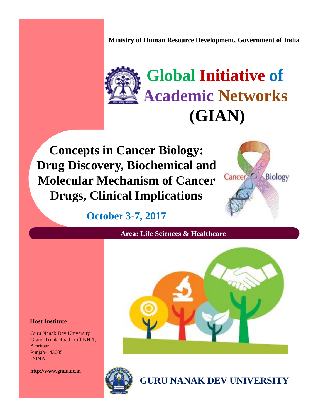**Ministry of Human Resource Development, Government of India**



**Concepts in Cancer Biology: Drug Discovery, Biochemical and Molecular Mechanism of Cancer** Cancer<sup>C</sup> Biology **Drugs, Clinical Implications**



**October 3-7, 2017**

**Area: Life Sciences & Healthcare**



### **Host Institute**

Guru Nanak Dev University Grand Trunk Road, Off NH 1, Amritsar Punjab-143005 INDIA

**http://www.gndu.ac.in**



**GURU NANAK DEV UNIVERSITY**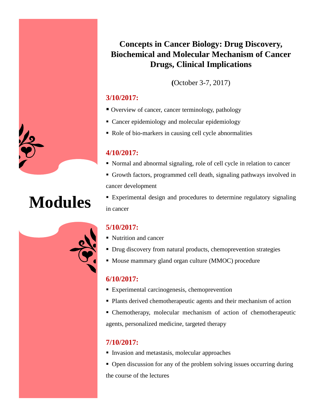

# **Modules**

## **Concepts in Cancer Biology: Drug Discovery, Biochemical and Molecular Mechanism of Cancer Drugs, Clinical Implications**

**(**October 3-7, 2017)

## **3/10/2017:**

- Overview of cancer, cancer terminology, pathology
- Cancer epidemiology and molecular epidemiology
- Role of bio-markers in causing cell cycle abnormalities

### **4/10/2017:**

- Normal and abnormal signaling, role of cell cycle in relation to cancer
- Growth factors, programmed cell death, signaling pathways involved in cancer development
- Experimental design and procedures to determine regulatory signaling in cancer

## **5/10/2017:**

- Nutrition and cancer
- Drug discovery from natural products, chemoprevention strategies
- Mouse mammary gland organ culture (MMOC) procedure

## **6/10/2017:**

- **Experimental carcinogenesis, chemoprevention**
- **Plants derived chemotherapeutic agents and their mechanism of action**
- Chemotherapy, molecular mechanism of action of chemotherapeutic agents, personalized medicine, targeted therapy

## **7/10/2017:**

- **Invasion and metastasis, molecular approaches**
- Open discussion for any of the problem solving issues occurring during the course of the lectures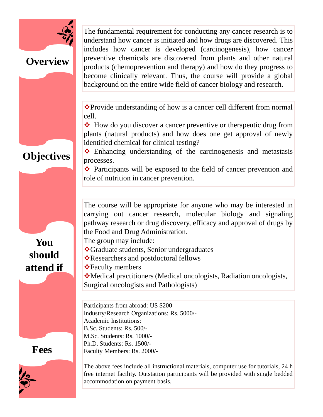

## **Overview**

The fundamental requirement for conducting any cancer research is to understand how cancer is initiated and how drugs are discovered. This includes how cancer is developed (carcinogenesis), how cancer preventive chemicals are discovered from plants and other natural products (chemoprevention and therapy) and how do they progress to become clinically relevant. Thus, the course will provide a global background on the entire wide field of cancer biology and research.

\*Provide understanding of how is a cancer cell different from normal cell.

dentified chemical for clinical testing?<br>
Financing understanding of the carcinogenesis and metastasis **→** How do you discover a cancer preventive or therapeutic drug from plants (natural products) and how does one get approval of newly identified chemical for clinical testing?

processes.

• Participants will be exposed to the field of cancer prevention and role of nutrition in cancer prevention.

**You should attend if**

**Objectives**

The course will be appropriate for anyone who may be interested in carrying out cancer research, molecular biology and signaling pathway research or drug discovery, efficacy and approval of drugs by the Food and Drug Administration.

The group may include:

Graduate students, Senior undergraduates

Researchers and postdoctoral fellows

**\***Faculty members

Medical practitioners (Medical oncologists, Radiation oncologists, Surgical oncologists and Pathologists)

Participants from abroad: US \$200 Industry/Research Organizations: Rs. 5000/- Academic Institutions: B.Sc. Students: Rs. 500/- M.Sc. Students: Rs. 1000/- Ph.D. Students: Rs. 1500/- Faculty Members: Rs. 2000/-

**Fees**

The above fees include all instructional materials, computer use for tutorials, 24 h free internet facility. Outstation participants will be provided with single bedded accommodation on payment basis.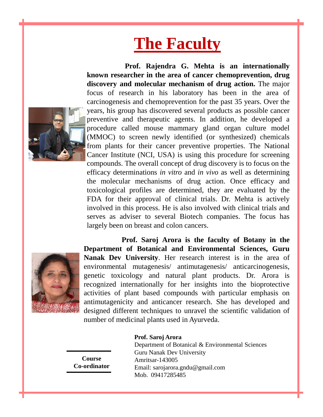# **The Faculty**



**Prof. Rajendra G. Mehta is an internationally known researcher in the area of cancer chemoprevention, drug discovery and molecular mechanism of drug action.** The major focus of research in his laboratory has been in the area of carcinogenesis and chemoprevention for the past 35 years. Over the years, his group has discovered several products as possible cancer preventive and therapeutic agents. In addition, he developed a procedure called mouse mammary gland organ culture model (MMOC) to screen newly identified (or synthesized) chemicals from plants for their cancer preventive properties. The National Cancer Institute (NCI, USA) is using this procedure for screening compounds. The overall concept of drug discovery is to focus on the efficacy determinations *in vitro* and *in vivo* as well as determining the molecular mechanisms of drug action. Once efficacy and toxicological profiles are determined, they are evaluated by the FDA for their approval of clinical trials. Dr. Mehta is actively involved in this process. He is also involved with clinical trials and serves as adviser to several Biotech companies. The focus has largely been on breast and colon cancers.



**Prof. Saroj Arora is the faculty of Botany in the Department of Botanical and Environmental Sciences, Guru Nanak Dev University**. Her research interest is in the area of environmental mutagenesis/ antimutagenesis/ anticarcinogenesis, genetic toxicology and natural plant products. Dr. Arora is recognized internationally for her insights into the bioprotective activities of plant based compounds with particular emphasis on antimutagenicity and anticancer research. She has developed and designed different techniques to unravel the scientific validation of number of medicinal plants used in Ayurveda.

**Prof. Saroj Arora**

**Course Co-ordinator**

Department of Botanical & Environmental Sciences Guru Nanak Dev University Amritsar-143005 Email: sarojarora.gndu@gmail.com Mob. 09417285485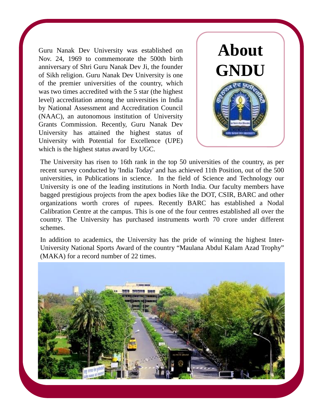Guru Nanak Dev University was established on Nov. 24, 1969 to commemorate the 500th birth anniversary of Shri Guru Nanak Dev Ji, the founder of Sikh religion. Guru Nanak Dev University is one of the premier universities of the country, which was two times accredited with the 5 star (the highest level) accreditation among the universities in India by National Assessment and Accreditation Council (NAAC), an autonomous institution of University Grants Commission. Recently, Guru Nanak Dev University has attained the highest status of University with Potential for Excellence (UPE) which is the highest status award by UGC.



The University has risen to 16th rank in the top 50 universities of the country, as per recent survey conducted by 'India Today' and has achieved 11th Position, out of the 500 universities, in Publications in science. In the field of Science and Technology our University is one of the leading institutions in North India. Our faculty members have bagged prestigious projects from the apex bodies like the DOT, CSIR, BARC and other organizations worth crores of rupees. Recently BARC has established a Nodal Calibration Centre at the campus. This is one of the four centres established all over the country. The University has purchased instruments worth 70 crore under different schemes.

In addition to academics, the University has the pride of winning the highest Inter- University National Sports Award of the country "Maulana Abdul Kalam Azad Trophy" (MAKA) for a record number of 22 times.

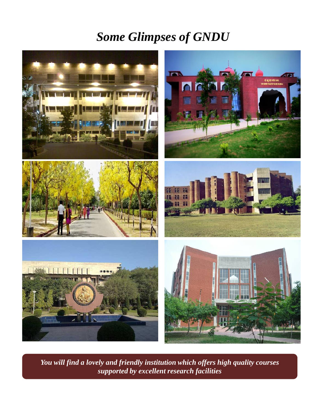## *Some Glimpses of GNDU*



*You will find a lovely and friendly institution which offers high quality courses supported by excellent research facilities*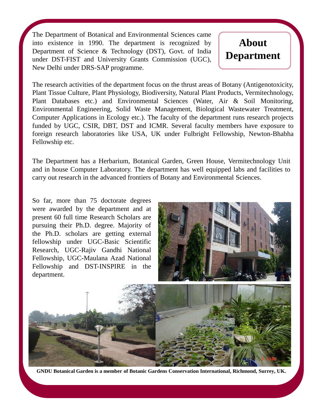The Department of Botanical and Environmental Sciences came into existence in 1990. The department is recognized by Department of Science & Technology (DST), Govt. of India under DST-FIST and University Grants Commission (UGC), New Delhi under DRS-SAP programme.

## **About Department**

The research activities of the department focus on the thrust areas of Botany (Antigenotoxicity, Plant Tissue Culture, Plant Physiology, Biodiversity, Natural Plant Products, Vermitechnology, Plant Databases etc.) and Environmental Sciences (Water, Air & Soil Monitoring, Environmental Engineering, Solid Waste Management, Biological Wastewater Treatment, Computer Applications in Ecology etc.). The faculty of the department runs research projects funded by UGC, CSIR, DBT, DST and ICMR. Several faculty members have exposure to foreign research laboratories like USA, UK under Fulbright Fellowship, Newton-Bhabha Fellowship etc.

The Department has a Herbarium, Botanical Garden, Green House, Vermitechnology Unit and in house Computer Laboratory. The department has well equipped labs and facilities to carry out research in the advanced frontiers of Botany and Environmental Sciences.

So far, more than 75 doctorate degrees were awarded by the department and at present 60 full time Research Scholars are pursuing their Ph.D. degree. Majority of the Ph.D. scholars are getting external fellowship under UGC-Basic Scientific Research, UGC-Rajiv Gandhi National Fellowship, UGC-Maulana Azad National Fellowship and DST-INSPIRE in the department.





**GNDU Botanical Garden is a member of Botanic Gardens Conservation International, Richmond, Surrey, UK.**